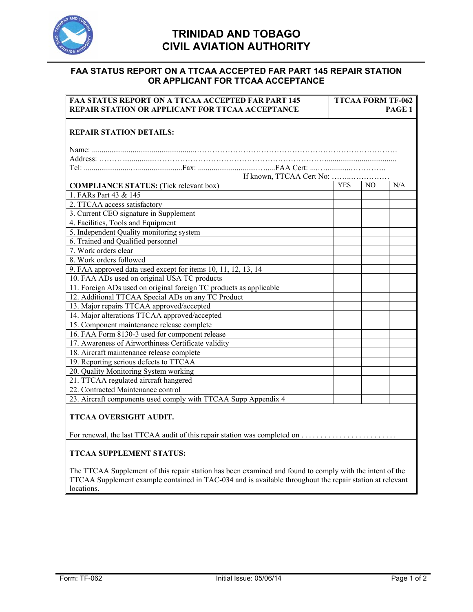

## **TRINIDAD AND TOBAGO CIVIL AVIATION AUTHORITY**

## **FAA STATUS REPORT ON A TTCAA ACCEPTED FAR PART 145 REPAIR STATION OR APPLICANT FOR TTCAA ACCEPTANCE**

| <b>FAA STATUS REPORT ON A TTCAA ACCEPTED FAR PART 145</b><br>REPAIR STATION OR APPLICANT FOR TTCAA ACCEPTANCE                                                                                                                      |            | <b>TTCAA FORM TF-062</b><br>PAGE 1 |     |  |
|------------------------------------------------------------------------------------------------------------------------------------------------------------------------------------------------------------------------------------|------------|------------------------------------|-----|--|
| <b>REPAIR STATION DETAILS:</b>                                                                                                                                                                                                     |            |                                    |     |  |
|                                                                                                                                                                                                                                    |            |                                    |     |  |
|                                                                                                                                                                                                                                    |            |                                    |     |  |
|                                                                                                                                                                                                                                    |            |                                    |     |  |
|                                                                                                                                                                                                                                    |            |                                    |     |  |
| <b>COMPLIANCE STATUS:</b> (Tick relevant box)                                                                                                                                                                                      | <b>YES</b> | N <sub>O</sub>                     | N/A |  |
| 1. FARs Part 43 & 145                                                                                                                                                                                                              |            |                                    |     |  |
| 2. TTCAA access satisfactory                                                                                                                                                                                                       |            |                                    |     |  |
| 3. Current CEO signature in Supplement                                                                                                                                                                                             |            |                                    |     |  |
| 4. Facilities, Tools and Equipment                                                                                                                                                                                                 |            |                                    |     |  |
| 5. Independent Quality monitoring system                                                                                                                                                                                           |            |                                    |     |  |
| 6. Trained and Qualified personnel                                                                                                                                                                                                 |            |                                    |     |  |
| 7. Work orders clear                                                                                                                                                                                                               |            |                                    |     |  |
| 8. Work orders followed                                                                                                                                                                                                            |            |                                    |     |  |
| 9. FAA approved data used except for items 10, 11, 12, 13, 14                                                                                                                                                                      |            |                                    |     |  |
| 10. FAA ADs used on original USA TC products                                                                                                                                                                                       |            |                                    |     |  |
| 11. Foreign ADs used on original foreign TC products as applicable                                                                                                                                                                 |            |                                    |     |  |
| 12. Additional TTCAA Special ADs on any TC Product                                                                                                                                                                                 |            |                                    |     |  |
| 13. Major repairs TTCAA approved/accepted                                                                                                                                                                                          |            |                                    |     |  |
| 14. Major alterations TTCAA approved/accepted                                                                                                                                                                                      |            |                                    |     |  |
| 15. Component maintenance release complete                                                                                                                                                                                         |            |                                    |     |  |
| 16. FAA Form 8130-3 used for component release                                                                                                                                                                                     |            |                                    |     |  |
| 17. Awareness of Airworthiness Certificate validity                                                                                                                                                                                |            |                                    |     |  |
| 18. Aircraft maintenance release complete                                                                                                                                                                                          |            |                                    |     |  |
| 19. Reporting serious defects to TTCAA                                                                                                                                                                                             |            |                                    |     |  |
| 20. Quality Monitoring System working                                                                                                                                                                                              |            |                                    |     |  |
| 21. TTCAA regulated aircraft hangered                                                                                                                                                                                              |            |                                    |     |  |
| 22. Contracted Maintenance control                                                                                                                                                                                                 |            |                                    |     |  |
| 23. Aircraft components used comply with TTCAA Supp Appendix 4                                                                                                                                                                     |            |                                    |     |  |
| TTCAA OVERSIGHT AUDIT.                                                                                                                                                                                                             |            |                                    |     |  |
|                                                                                                                                                                                                                                    |            |                                    |     |  |
| <b>TTCAA SUPPLEMENT STATUS:</b>                                                                                                                                                                                                    |            |                                    |     |  |
| The TTCAA Supplement of this repair station has been examined and found to comply with the intent of the<br>TTCAA Supplement example contained in TAC-034 and is available throughout the repair station at relevant<br>locations. |            |                                    |     |  |